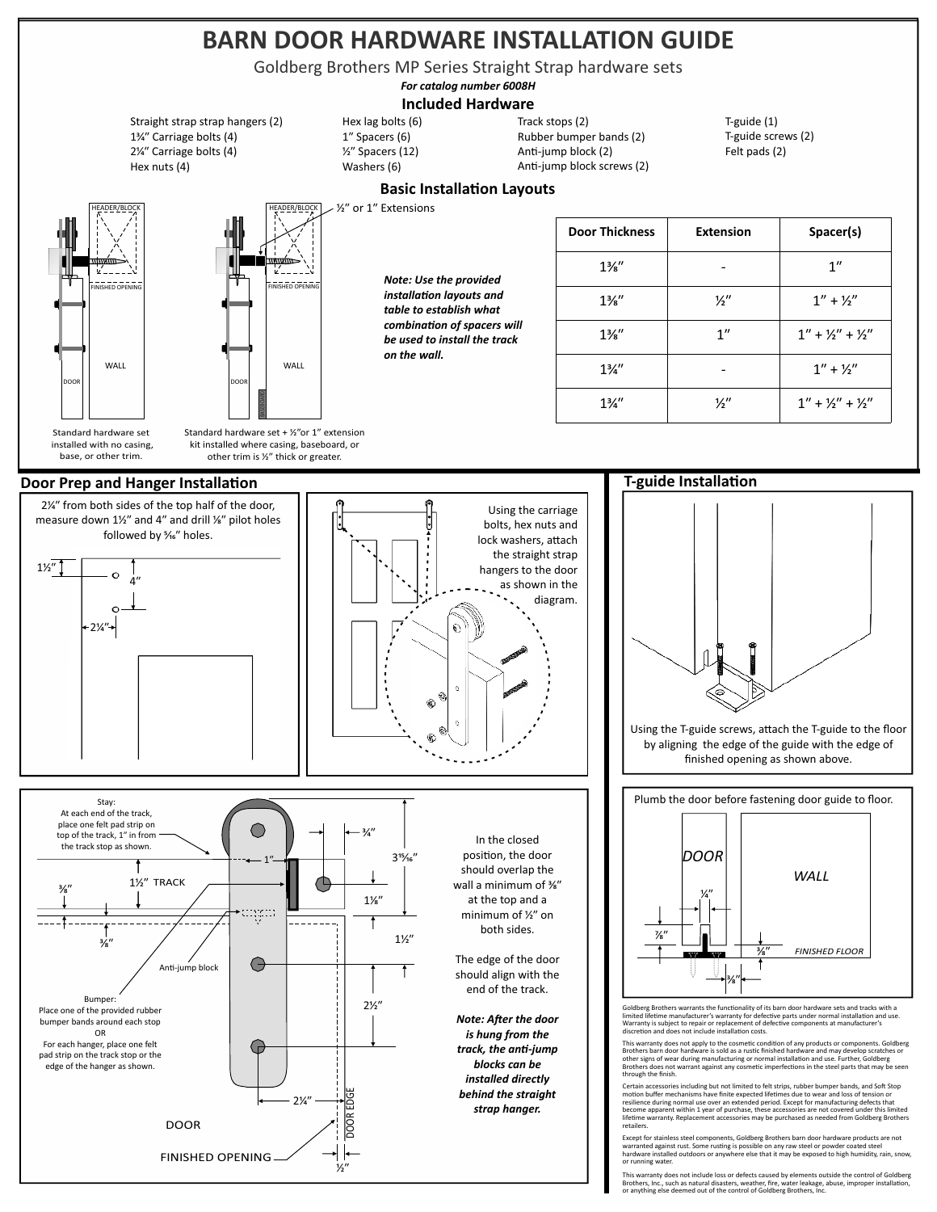# BARN DOOR HARDWARE INSTALLATION GUIDE

Track stops (2) T-guide screws (2) T-guide series (4) Lock was health screw of the Goldberg Brothers MP Series Straight Strap hardware sets Straight Straight Strap (1) In the Carrier of Carrier (1) On the Carrier of Carrier (1994)<br>Goldberg Brothers MP Series Straight Strap hardware sets

*For catalog number 6008H*

## **Included Hardware**

1<sup>3</sup>⁄4" Carriage bolts (4) 2<sup>/4</sup> Carriage bolts (4) Hex nuts (4) Straight strap strap hangers (2)



HEADER/BLOCK FINISHED OPENING FINISHED OPENING WALL WALL

 installed with no casing, base, or other trim.









Track stops (2) Anti-jump block (2) Rubber bumper bands (2) Anti-jump block screws (2) T-guide screws (2) Felt pads (2) T-guide (1)

# **Basic Installation Layouts**

 $1^{\prime\prime}$  or 1" Extensions

1" Spacers (6) Washers (6)

Hex lag bolts (6) ⁄ʺ Spacers (12)

> *Note: Use the provided installation layouts and table to establish what*   $combination of spaces will$ *be used to install the track on the wall.*

| <b>Door Thickness</b> | <b>Extension</b> | Spacer(s)             |
|-----------------------|------------------|-----------------------|
| $1\frac{3}{8}$ "      |                  | $1^{\prime\prime}$    |
| $1\frac{3}{8}$ "      | ½″               | $1'' + \frac{1}{2}''$ |
| $1\frac{3}{8}$ "      | 1''              | $1'' + 1'' + 12''$    |
| $1\frac{3}{4}$ "      |                  | $1'' + 1''$           |
| $1\frac{3}{4}$ "      | 1⁄2″             | $1'' + 1/2'' + 1/2''$ |

## **T-guide Installation**



Using the T-guide screws, attach the T-guide to the floor by aligning the edge of the guide with the edge of finished opening as shown above.

Plumb the door before fastening door guide to floor.



Goldberg Brothers warrants the functionality of its barn door hardware sets and tracks with a limited lifetime manufacturer's warranty for defective parts under normal installation and use. Warranty is subject to repair or replacement of defective components at manufacturer's<br>discretion and does not include installation costs.

This warranty does not apply to the cosmetic condition of any products or components. Goldberg<br>Brothers barn door hardware is sold as a rustic finished hardware and may develop scratches or other signs of wear during manufacturing or normal installation and use. Further, Goldberg<br>Brothers does not warrant against any cosmetic imperfections in the steel parts that may be seen<br>through the finish.

Certain accessories including but not limited to felt strips, rubber bumper bands, and Soft Stop<br>emotion buffer mechanisms have finite expected lifetimes due to wear and loss of tension or<br>resilience during normal use over retailers.

Except for stainless steel components, Goldberg Brothers barn door hardware products are not<br>warranted against rust. Some rusting is possible on any raw steel or powder coated steel<br>hardware installed outdoors or anywhere or running water.

This warranty does not include loss or defects caused by elements outside the control of Goldberg<br>Brothers, Inc., such as natural disasters, weather, fire, water leakage, abuse, improper installation,<br>or anything else deem